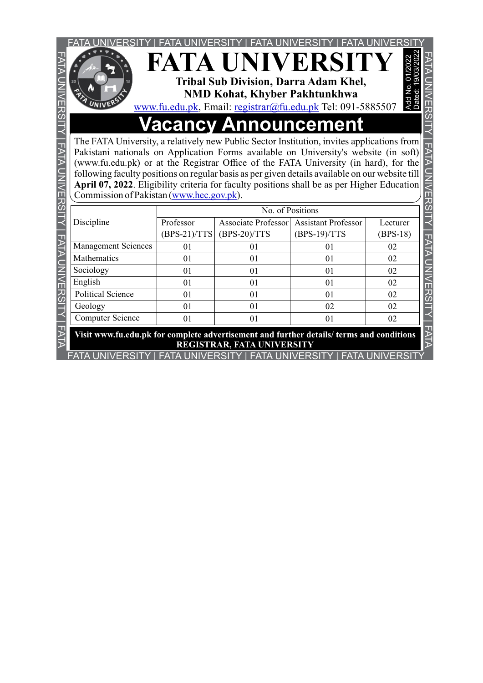

## **Vacancy Announcement**

|                                                                                                                                                                                                                                                                                                                                                                                                                                                                                                                                                         |                             | <b>FATA UNIVERSITY</b><br><b>Tribal Sub Division, Darra Adam Khel,</b><br><b>NMD Kohat, Khyber Pakhtunkhwa</b><br>www.fu.edu.pk, Email: registrar@fu.edu.pk Tel: 091-5885507 |                                              | Add No<br>Dated:       |  |  |
|---------------------------------------------------------------------------------------------------------------------------------------------------------------------------------------------------------------------------------------------------------------------------------------------------------------------------------------------------------------------------------------------------------------------------------------------------------------------------------------------------------------------------------------------------------|-----------------------------|------------------------------------------------------------------------------------------------------------------------------------------------------------------------------|----------------------------------------------|------------------------|--|--|
| <b>Vacancy Announcement</b><br>The FATA University, a relatively new Public Sector Institution, invites applications from<br>Pakistani nationals on Application Forms available on University's website (in soft)<br>(www.fu.edu.pk) or at the Registrar Office of the FATA University (in hard), for the<br>following faculty positions on regular basis as per given details available on our website till<br>April 07, 2022. Eligibility criteria for faculty positions shall be as per Higher Education<br>Commission of Pakistan (www.hec.gov.pk). |                             |                                                                                                                                                                              |                                              |                        |  |  |
| Discipline                                                                                                                                                                                                                                                                                                                                                                                                                                                                                                                                              | Professor<br>$(BPS-21)/TTS$ | No. of Positions<br><b>Associate Professor</b><br>$(BPS-20)/TTS$                                                                                                             | <b>Assistant Professor</b><br>$(BPS-19)/TTS$ | Lecturer<br>$(BPS-18)$ |  |  |
| <b>Management Sciences</b>                                                                                                                                                                                                                                                                                                                                                                                                                                                                                                                              | 01                          | 01                                                                                                                                                                           | 01                                           | 02                     |  |  |
| Mathematics                                                                                                                                                                                                                                                                                                                                                                                                                                                                                                                                             | 01                          | 01                                                                                                                                                                           | 01                                           | 02                     |  |  |
| Sociology                                                                                                                                                                                                                                                                                                                                                                                                                                                                                                                                               | 01                          | 01                                                                                                                                                                           | 01                                           | 02                     |  |  |
| English                                                                                                                                                                                                                                                                                                                                                                                                                                                                                                                                                 | 01                          | 01                                                                                                                                                                           | 01                                           | 02                     |  |  |
| <b>Political Science</b>                                                                                                                                                                                                                                                                                                                                                                                                                                                                                                                                | 01                          | 01                                                                                                                                                                           | 01                                           | 02                     |  |  |
| Geology                                                                                                                                                                                                                                                                                                                                                                                                                                                                                                                                                 | 01                          | 0 <sub>1</sub>                                                                                                                                                               | 02                                           | 02                     |  |  |
| <b>Computer Science</b>                                                                                                                                                                                                                                                                                                                                                                                                                                                                                                                                 | 01                          | 01                                                                                                                                                                           | 01                                           | 02                     |  |  |
| Visit www.fu.edu.pk for complete advertisement and further details/ terms and conditions<br>REGISTRAR, FATA UNIVERSITY<br>UN (EDOITV LEATA LININ (EDOITV LEATA LININ (EDOITV LEATA LININ (EDOIT)                                                                                                                                                                                                                                                                                                                                                        |                             |                                                                                                                                                                              |                                              |                        |  |  |

FATA UNIVERSITY | FATA UNIVERSITY | FATA UNIVERSITY | FATA UNIVERSITY